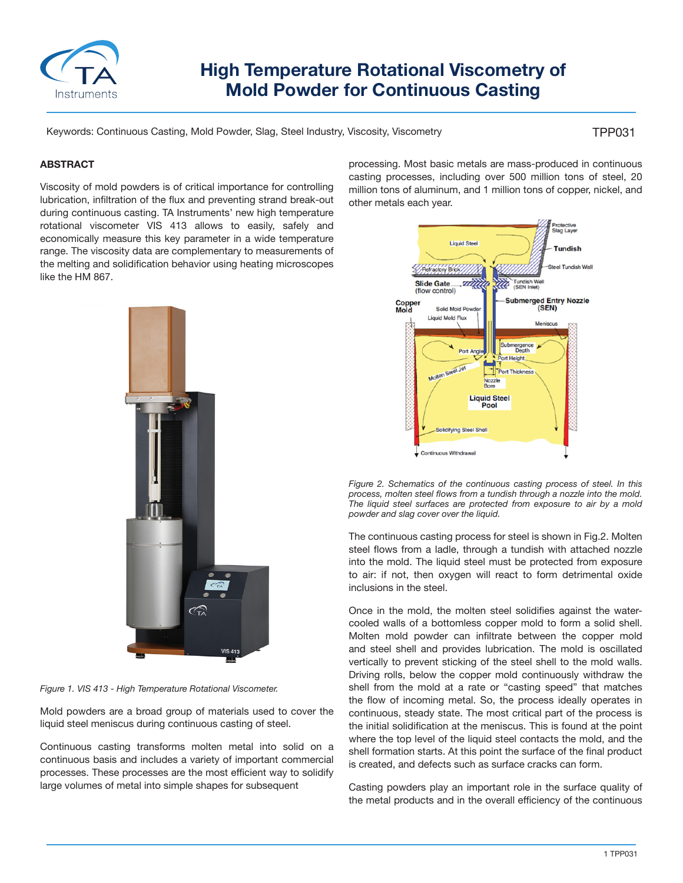

# **High Temperature Rotational Viscometry of Mold Powder for Continuous Casting**

Keywords: Continuous Casting, Mold Powder, Slag, Steel Industry, Viscosity, Viscometry

#### TPP031

#### **ABSTRACT**

Viscosity of mold powders is of critical importance for controlling lubrication, infiltration of the flux and preventing strand break-out during continuous casting. TA Instruments' new high temperature rotational viscometer VIS 413 allows to easily, safely and economically measure this key parameter in a wide temperature range. The viscosity data are complementary to measurements of the melting and solidification behavior using heating microscopes like the HM 867.



*Figure 1. VIS 413 - High Temperature Rotational Viscometer.*

Mold powders are a broad group of materials used to cover the liquid steel meniscus during continuous casting of steel.

Continuous casting transforms molten metal into solid on a continuous basis and includes a variety of important commercial processes. These processes are the most efficient way to solidify large volumes of metal into simple shapes for subsequent

processing. Most basic metals are mass-produced in continuous casting processes, including over 500 million tons of steel, 20 million tons of aluminum, and 1 million tons of copper, nickel, and other metals each year.





The continuous casting process for steel is shown in Fig.2. Molten steel flows from a ladle, through a tundish with attached nozzle into the mold. The liquid steel must be protected from exposure to air: if not, then oxygen will react to form detrimental oxide inclusions in the steel.

Once in the mold, the molten steel solidifies against the watercooled walls of a bottomless copper mold to form a solid shell. Molten mold powder can infiltrate between the copper mold and steel shell and provides lubrication. The mold is oscillated vertically to prevent sticking of the steel shell to the mold walls. Driving rolls, below the copper mold continuously withdraw the shell from the mold at a rate or "casting speed" that matches the flow of incoming metal. So, the process ideally operates in continuous, steady state. The most critical part of the process is the initial solidification at the meniscus. This is found at the point where the top level of the liquid steel contacts the mold, and the shell formation starts. At this point the surface of the final product is created, and defects such as surface cracks can form.

Casting powders play an important role in the surface quality of the metal products and in the overall efficiency of the continuous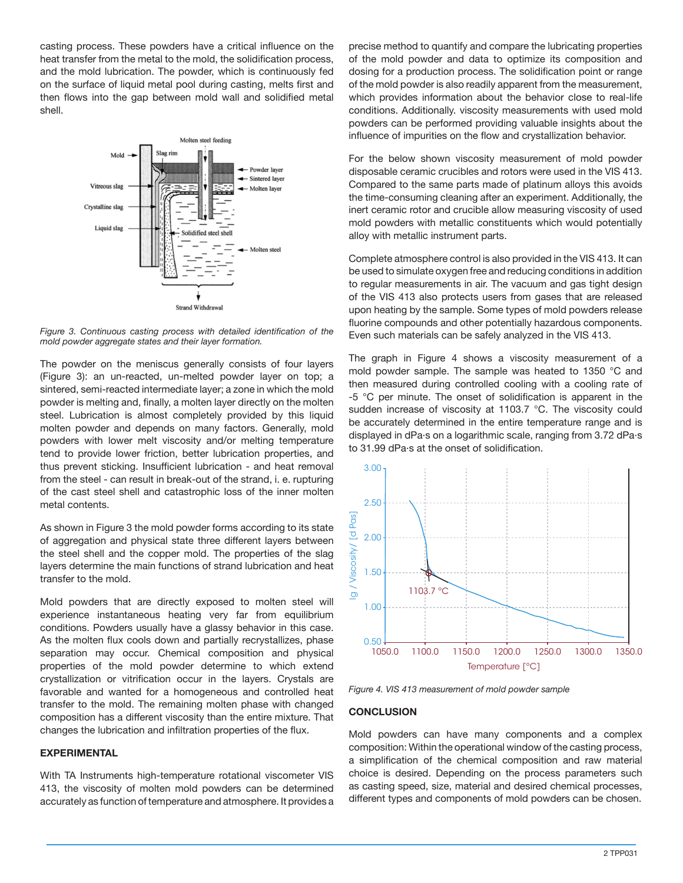casting process. These powders have a critical influence on the heat transfer from the metal to the mold, the solidification process, and the mold lubrication. The powder, which is continuously fed on the surface of liquid metal pool during casting, melts first and then flows into the gap between mold wall and solidified metal shell.



*Figure 3. Continuous casting process with detailed identification of the mold powder aggregate states and their layer formation.*

The powder on the meniscus generally consists of four layers (Figure 3): an un-reacted, un-melted powder layer on top; a sintered, semi-reacted intermediate layer; a zone in which the mold powder is melting and, finally, a molten layer directly on the molten steel. Lubrication is almost completely provided by this liquid molten powder and depends on many factors. Generally, mold powders with lower melt viscosity and/or melting temperature tend to provide lower friction, better lubrication properties, and thus prevent sticking. Insufficient lubrication - and heat removal from the steel - can result in break-out of the strand, i. e. rupturing of the cast steel shell and catastrophic loss of the inner molten metal contents.

As shown in Figure 3 the mold powder forms according to its state of aggregation and physical state three different layers between the steel shell and the copper mold. The properties of the slag layers determine the main functions of strand lubrication and heat transfer to the mold.

Mold powders that are directly exposed to molten steel will experience instantaneous heating very far from equilibrium conditions. Powders usually have a glassy behavior in this case. As the molten flux cools down and partially recrystallizes, phase separation may occur. Chemical composition and physical properties of the mold powder determine to which extend crystallization or vitrification occur in the layers. Crystals are favorable and wanted for a homogeneous and controlled heat transfer to the mold. The remaining molten phase with changed composition has a different viscosity than the entire mixture. That changes the lubrication and infiltration properties of the flux.

## **EXPERIMENTAL**

With TA Instruments high-temperature rotational viscometer VIS 413, the viscosity of molten mold powders can be determined accurately as function of temperature and atmosphere. It provides a precise method to quantify and compare the lubricating properties of the mold powder and data to optimize its composition and dosing for a production process. The solidification point or range of the mold powder is also readily apparent from the measurement, which provides information about the behavior close to real-life conditions. Additionally. viscosity measurements with used mold powders can be performed providing valuable insights about the influence of impurities on the flow and crystallization behavior.

For the below shown viscosity measurement of mold powder disposable ceramic crucibles and rotors were used in the VIS 413. Compared to the same parts made of platinum alloys this avoids the time-consuming cleaning after an experiment. Additionally, the inert ceramic rotor and crucible allow measuring viscosity of used mold powders with metallic constituents which would potentially alloy with metallic instrument parts.

Complete atmosphere control is also provided in the VIS 413. It can be used to simulate oxygen free and reducing conditions in addition to regular measurements in air. The vacuum and gas tight design of the VIS 413 also protects users from gases that are released upon heating by the sample. Some types of mold powders release fluorine compounds and other potentially hazardous components. Even such materials can be safely analyzed in the VIS 413.

The graph in Figure 4 shows a viscosity measurement of a mold powder sample. The sample was heated to 1350 °C and then measured during controlled cooling with a cooling rate of -5 °C per minute. The onset of solidification is apparent in the sudden increase of viscosity at 1103.7 °C. The viscosity could be accurately determined in the entire temperature range and is displayed in dPa·s on a logarithmic scale, ranging from 3.72 dPa·s to 31.99 dPa·s at the onset of solidification.



*Figure 4. VIS 413 measurement of mold powder sample*

## **CONCLUSION**

Mold powders can have many components and a complex composition: Within the operational window of the casting process, a simplification of the chemical composition and raw material choice is desired. Depending on the process parameters such as casting speed, size, material and desired chemical processes,